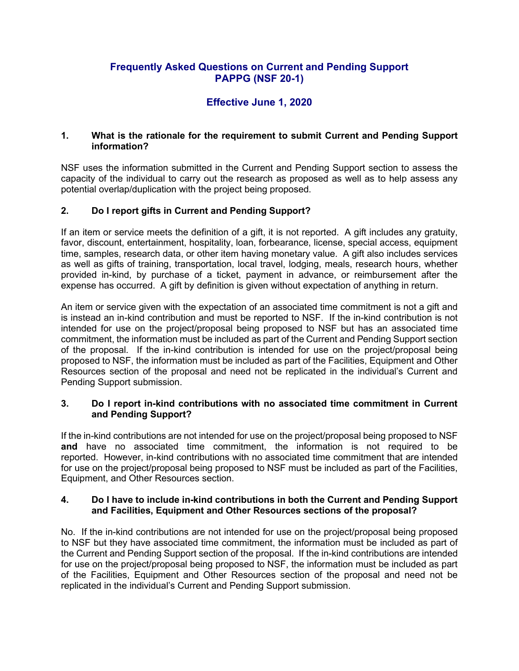## **Frequently Asked Questions on Current and Pending Support PAPPG (NSF 20-1)**

# **Effective June 1, 2020**

## **1. What is the rationale for the requirement to submit Current and Pending Support information?**

NSF uses the information submitted in the Current and Pending Support section to assess the capacity of the individual to carry out the research as proposed as well as to help assess any potential overlap/duplication with the project being proposed.

## **2. Do I report gifts in Current and Pending Support?**

If an item or service meets the definition of a gift, it is not reported. A gift includes any gratuity, favor, discount, entertainment, hospitality, loan, forbearance, license, special access, equipment time, samples, research data, or other item having monetary value. A gift also includes services as well as gifts of training, transportation, local travel, lodging, meals, research hours, whether provided in-kind, by purchase of a ticket, payment in advance, or reimbursement after the expense has occurred. A gift by definition is given without expectation of anything in return.

An item or service given with the expectation of an associated time commitment is not a gift and is instead an in-kind contribution and must be reported to NSF. If the in-kind contribution is not intended for use on the project/proposal being proposed to NSF but has an associated time commitment, the information must be included as part of the Current and Pending Support section of the proposal. If the in-kind contribution is intended for use on the project/proposal being proposed to NSF, the information must be included as part of the Facilities, Equipment and Other Resources section of the proposal and need not be replicated in the individual's Current and Pending Support submission.

## **3. Do I report in-kind contributions with no associated time commitment in Current and Pending Support?**

If the in-kind contributions are not intended for use on the project/proposal being proposed to NSF **and** have no associated time commitment, the information is not required to be reported. However, in-kind contributions with no associated time commitment that are intended for use on the project/proposal being proposed to NSF must be included as part of the Facilities, Equipment, and Other Resources section.

## **4. Do I have to include in-kind contributions in both the Current and Pending Support and Facilities, Equipment and Other Resources sections of the proposal?**

No. If the in-kind contributions are not intended for use on the project/proposal being proposed to NSF but they have associated time commitment, the information must be included as part of the Current and Pending Support section of the proposal. If the in-kind contributions are intended for use on the project/proposal being proposed to NSF, the information must be included as part of the Facilities, Equipment and Other Resources section of the proposal and need not be replicated in the individual's Current and Pending Support submission.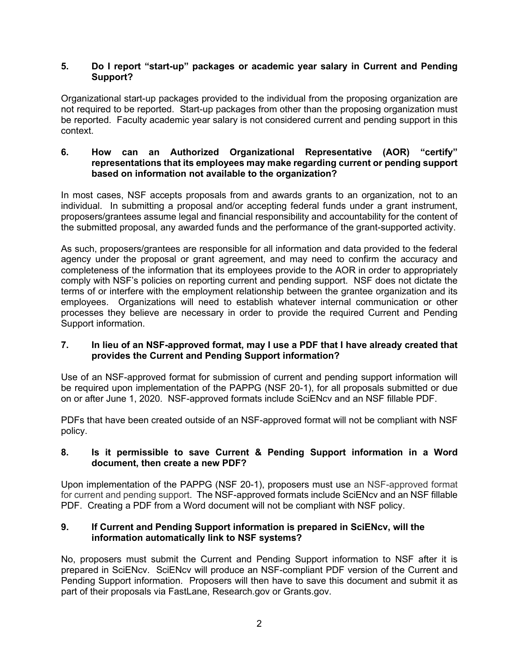## **5. Do I report "start-up" packages or academic year salary in Current and Pending Support?**

Organizational start-up packages provided to the individual from the proposing organization are not required to be reported. Start-up packages from other than the proposing organization must be reported. Faculty academic year salary is not considered current and pending support in this context.

#### **6. How can an Authorized Organizational Representative (AOR) "certify" representations that its employees may make regarding current or pending support based on information not available to the organization?**

In most cases, NSF accepts proposals from and awards grants to an organization, not to an individual. In submitting a proposal and/or accepting federal funds under a grant instrument, proposers/grantees assume legal and financial responsibility and accountability for the content of the submitted proposal, any awarded funds and the performance of the grant-supported activity.

As such, proposers/grantees are responsible for all information and data provided to the federal agency under the proposal or grant agreement, and may need to confirm the accuracy and completeness of the information that its employees provide to the AOR in order to appropriately comply with NSF's policies on reporting current and pending support. NSF does not dictate the terms of or interfere with the employment relationship between the grantee organization and its employees. Organizations will need to establish whatever internal communication or other processes they believe are necessary in order to provide the required Current and Pending Support information.

## **7. In lieu of an NSF-approved format, may I use a PDF that I have already created that provides the Current and Pending Support information?**

Use of an NSF-approved format for submission of current and pending support information will be required upon implementation of the PAPPG (NSF 20-1), for all proposals submitted or due on or after June 1, 2020. NSF-approved formats include SciENcv and an NSF fillable PDF.

PDFs that have been created outside of an NSF-approved format will not be compliant with NSF policy.

## **8. Is it permissible to save Current & Pending Support information in a Word document, then create a new PDF?**

Upon implementation of the PAPPG (NSF 20-1), proposers must use an NSF-approved format for current and pending support. The NSF-approved formats include SciENcv and an NSF fillable PDF. Creating a PDF from a Word document will not be compliant with NSF policy.

## **9. If Current and Pending Support information is prepared in SciENcv, will the information automatically link to NSF systems?**

No, proposers must submit the Current and Pending Support information to NSF after it is prepared in SciENcv. SciENcv will produce an NSF-compliant PDF version of the Current and Pending Support information. Proposers will then have to save this document and submit it as part of their proposals via FastLane, Research.gov or Grants.gov.